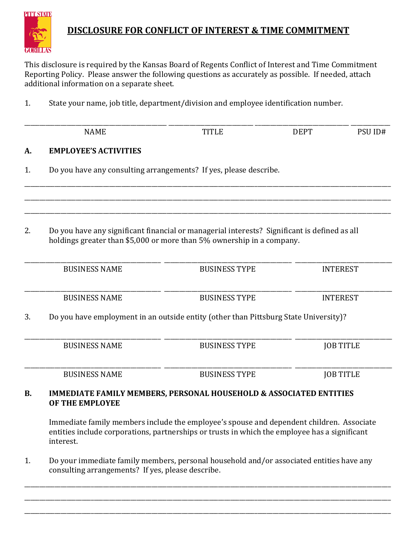

## **DISCLOSURE FOR CONFLICT OF INTEREST & TIME COMMITMENT**

This disclosure is required by the Kansas Board of Regents Conflict of Interest and Time Commitment Reporting Policy. Please answer the following questions as accurately as possible. If needed, attach additional information on a separate sheet.

1. State your name, job title, department/division and employee identification number.

|           | <b>NAME</b>                                                                                                                                                                                            | <b>TITLE</b>         | <b>DEPT</b> | PSU ID#          |  |  |
|-----------|--------------------------------------------------------------------------------------------------------------------------------------------------------------------------------------------------------|----------------------|-------------|------------------|--|--|
| A.        | <b>EMPLOYEE'S ACTIVITIES</b>                                                                                                                                                                           |                      |             |                  |  |  |
| 1.        | Do you have any consulting arrangements? If yes, please describe.                                                                                                                                      |                      |             |                  |  |  |
| 2.        | Do you have any significant financial or managerial interests? Significant is defined as all<br>holdings greater than \$5,000 or more than 5% ownership in a company.                                  |                      |             |                  |  |  |
|           | <b>BUSINESS NAME</b>                                                                                                                                                                                   | <b>BUSINESS TYPE</b> |             | <b>INTEREST</b>  |  |  |
|           | <b>BUSINESS NAME</b>                                                                                                                                                                                   | <b>BUSINESS TYPE</b> |             | <b>INTEREST</b>  |  |  |
| 3.        | Do you have employment in an outside entity (other than Pittsburg State University)?                                                                                                                   |                      |             |                  |  |  |
|           | <b>BUSINESS NAME</b>                                                                                                                                                                                   | <b>BUSINESS TYPE</b> |             | <b>JOB TITLE</b> |  |  |
|           | <b>BUSINESS NAME</b>                                                                                                                                                                                   | <b>BUSINESS TYPE</b> |             | <b>JOB TITLE</b> |  |  |
| <b>B.</b> | <b>IMMEDIATE FAMILY MEMBERS, PERSONAL HOUSEHOLD &amp; ASSOCIATED ENTITIES</b><br>OF THE EMPLOYEE                                                                                                       |                      |             |                  |  |  |
|           | Immediate family members include the employee's spouse and dependent children. Associate<br>entities include corporations, partnerships or trusts in which the employee has a significant<br>interest. |                      |             |                  |  |  |
| 1.        | Do your immediate family members, personal household and/or associated entities have any<br>consulting arrangements? If yes, please describe.                                                          |                      |             |                  |  |  |

\_\_\_\_\_\_\_\_\_\_\_\_\_\_\_\_\_\_\_\_\_\_\_\_\_\_\_\_\_\_\_\_\_\_\_\_\_\_\_\_\_\_\_\_\_\_\_\_\_\_\_\_\_\_\_\_\_\_\_\_\_\_\_\_\_\_\_\_\_\_\_\_\_\_\_\_\_\_\_\_\_\_\_\_\_\_\_\_\_\_\_\_\_\_\_\_\_\_\_\_\_\_\_\_\_\_\_\_\_\_\_\_\_\_\_\_\_\_\_\_\_ \_\_\_\_\_\_\_\_\_\_\_\_\_\_\_\_\_\_\_\_\_\_\_\_\_\_\_\_\_\_\_\_\_\_\_\_\_\_\_\_\_\_\_\_\_\_\_\_\_\_\_\_\_\_\_\_\_\_\_\_\_\_\_\_\_\_\_\_\_\_\_\_\_\_\_\_\_\_\_\_\_\_\_\_\_\_\_\_\_\_\_\_\_\_\_\_\_\_\_\_\_\_\_\_\_\_\_\_\_\_\_\_\_\_\_\_\_\_\_\_\_